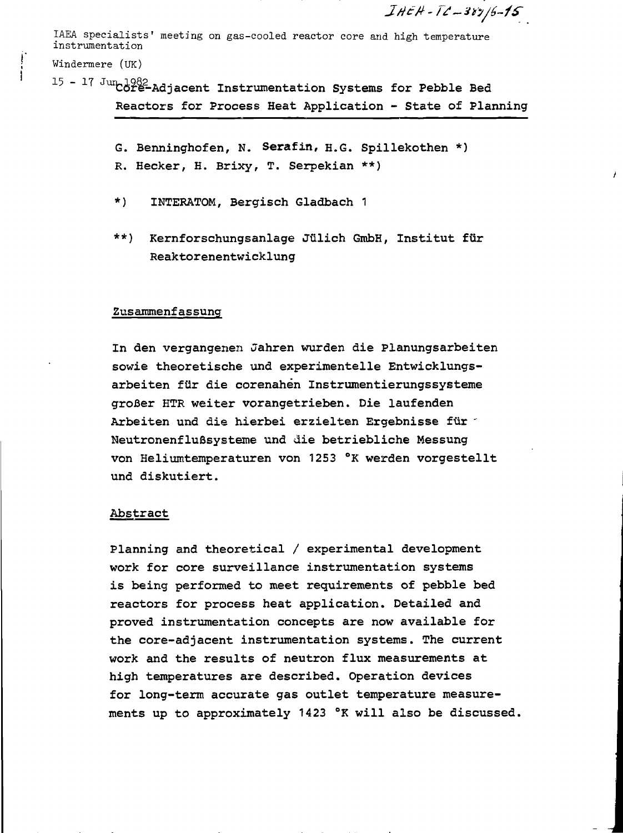$IHEH - IL - 385/6 - 15$ 

Å

IAEA specialists' meeting on gas-cooled reactor core and high temperature instrumentation

Windermere (UK)

- $15 17$  Jum  $1982$ <br> $19 17$  Jum  $1982$ <br>Adjacent Instrumentation Systems for Pebble Bed Reactors for Process Heat Application - State of Planning
	- G. Benninghofen, N. Serafin, H.G. Spillekothen \*) R. Hecker, H. Brixy, T. Serpekian \*\*)
	- $\star$ ) INTERATOM, Bergisch Gladbach 1
	- $***$ ) Kernforschungsanlage Jülich GmbH, Institut für Reaktorenentwicklung

## Zusammenfassung

In den vergangenen Jahren wurden die Planungsarbeiten sowie theoretische und experimentelle Entwicklungsarbeiten für die corenahen Instrumentierungssysteme großer HTR weiter vorangetrieben. Die laufenden Arbeiten und die hierbei erzielten Ergebnisse für 1 Neutronenflußsysteme und die betriebliche Messung von Heliumtemperaturen von 1253 °K werden vorgestellt und diskutiert.

### Abstract

Planning and theoretical / experimental development work for core surveillance instrumentation systems is being performed to meet requirements of pebble bed reactors for process heat application. Detailed and proved instrumentation concepts are now available for the core-adjacent instrumentation systems. The current work and the results of neutron flux measurements at high temperatures are described. Operation devices for long-term accurate gas outlet temperature measurements up to approximately 1423 °K will also be discussed.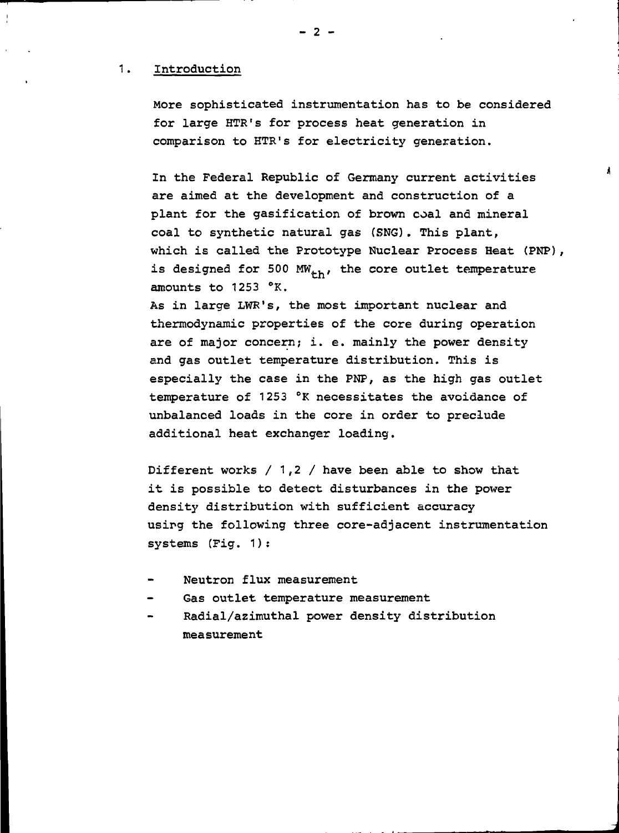## 1. Introduction

More sophisticated instrumentation has to be considered for large HTR's for process heat generation in comparison to HTR's for electricity generation.

In the Federal Republic of Germany current activities are aimed at the development and construction of a plant for the gasification of brown coal and mineral coal to synthetic natural gas (SNG). This plant, which is called the Prototype Nuclear Process Heat (PNP), is designed for 500  $MW_{+h}$ , the core outlet temperature amounts to 1253 °K.

As in large LWR's, the most important nuclear and thermodynamic properties of the core during operation are of major concern; i. e. mainly the power density and gas outlet temperature distribution. This is especially the case in the PNP, as the high gas outlet temperature of 1253 °K necessitates the avoidance of unbalanced loads in the core in order to preclude additional heat exchanger loading.

Different works  $/ 1, 2 /$  have been able to show that it is possible to detect disturbances in the power density distribution with sufficient accuracy using the following three core-adjacent instrumentation systems (Fig. 1) :

**J**

A

- Neutron flux measurement
- Gas outlet temperature measurement
- Radial/azimuthal power density distribution measurement

- 2 -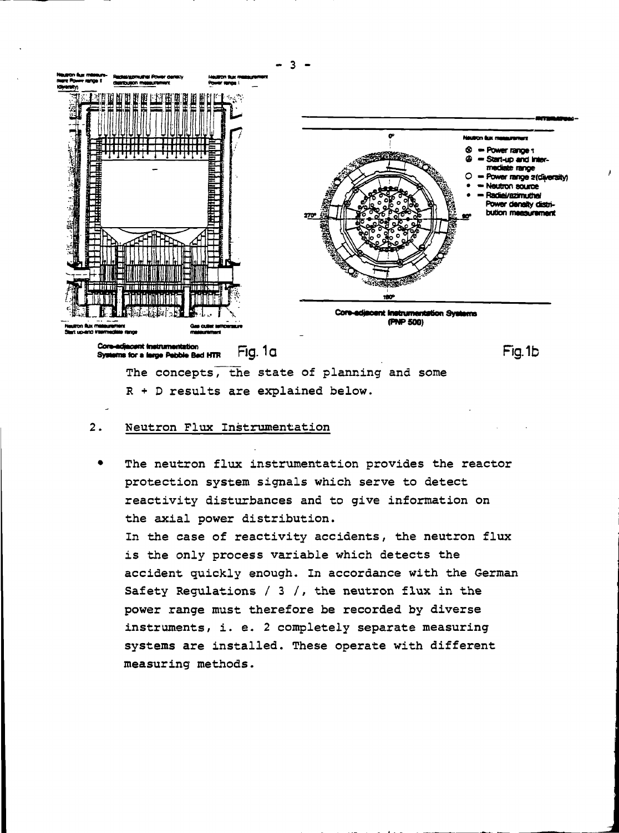

R + D results are explained below.

#### $2.$ Neutron Flux Instrumentation

The neutron flux instrumentation provides the reactor protection system signals which serve to detect reactivity disturbances and to give information on the axial power distribution.

In the case of reactivity accidents, the neutron flux is the only process variable which detects the accident quickly enough. In accordance with the German Safety Regulations / 3 /, the neutron flux in the power range must therefore be recorded by diverse instruments, i. e. 2 completely separate measuring systems are installed. These operate with different measuring methods.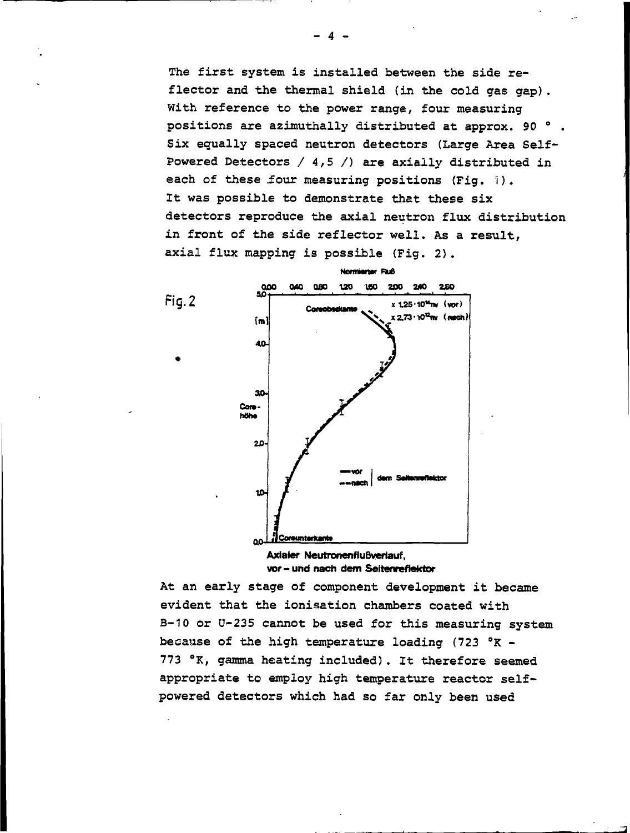The first system is installed between the side reflector and the thermal shield (in the cold gas gap). With reference to the power range, four measuring positions are azimuthally distributed at approx. 90 °. Six equally spaced neutron detectors (Large Area Self-Powered Detectors /  $4,5$  /) are axially distributed in each of these four measuring positions (Fig. 1). It was possible to demonstrate that these six detectors reproduce the axial neutron flux distribution in front of the side reflector well. As a result, axial flux mapping is possible (Fig. 2).



Axialer Neutronenflußverlauf. vor- und nach dem Seitenreflektor

At an early stage of component development it became evident that the ionisation chambers coated with B-10 or U-235 cannot be used for this measuring system because of the high temperature loading  $(723 °R -$ 773 °K, gamma heating included). It therefore seemed appropriate to employ high temperature reactor selfpowered detectors which had so far only been used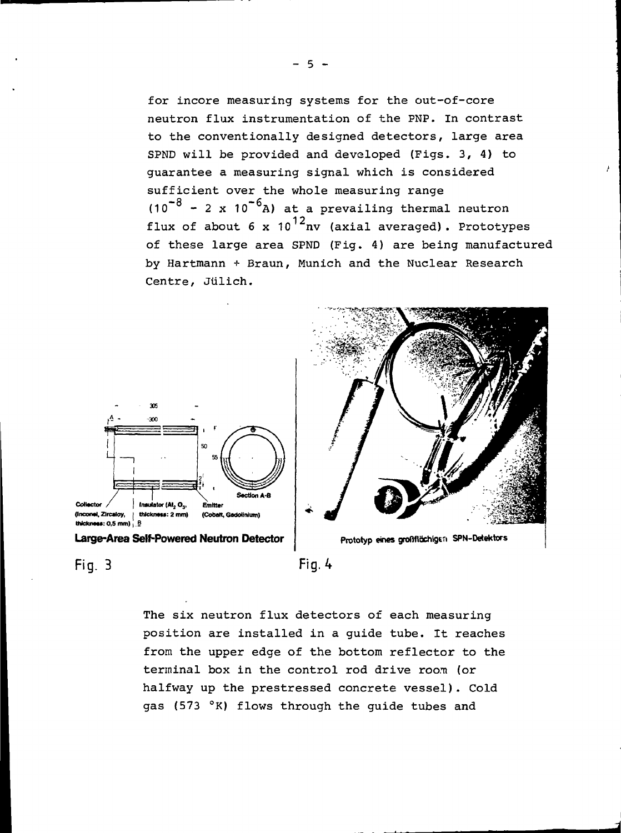for incore measuring systems for the out-of-core neutron flux instrumentation of the PNP. In contrast to the conventionally designed detectors, large area SPND will be provided and developed (Figs. 3, 4) to guarantee a measuring signal which is considered sufficient over the whole measuring range  $-8$  – 2  $\frac{10^{-6}}{10^{10}}$ (10 - 2 x 10 A) at a prevailing thermal neutron flux of about 6 x 10<sup>12</sup>nv (axial averaged). Prototypes of these large area SPND (Fig. 4) are being manufactured by Hartmann + Braun, Munich and the Nuclear Research Centre, Jiilich.



Large-Area Self-Powered Neutron Detector | Prototyp eines großflüchigen SPN-Detektors



**Fig. 3 Fig. 4**



The six neutron flux detectors of each measuring position are installed in a guide tube. It reaches from the upper edge of the bottom reflector to the terminal box in the control rod drive room (or halfway up the prestressed concrete vessel). Cold gas (573 °K) flows through the guide tubes and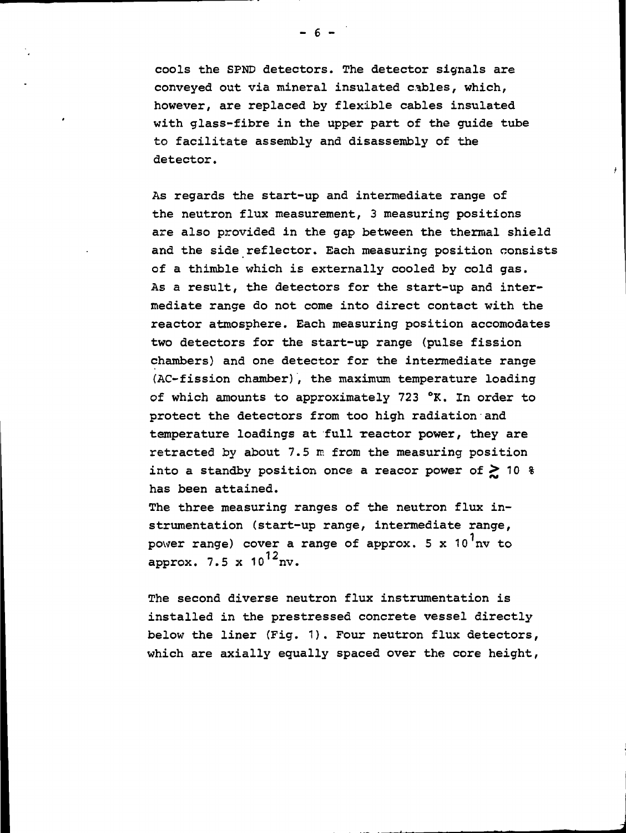cools the SPND detectors. The detector signals are conveyed out via mineral insulated cables, which, however, are replaced by flexible cables insulated with glass-fibre in the upper part of the guide tube to facilitate assembly and disassembly of the detector.

As regards the start-up and intermediate range of the neutron flux measurement, 3 measuring positions are also provided in the gap between the thermal shield and the side reflector. Each measuring position consists of a thimble which is externally cooled by cold gas. As a result, the detectors for the start-up and intermediate range do not come into direct contact with the reactor atmosphere. Bach measuring position accomodates two detectors for the start-up range (pulse fission chambers) and one detector for the intermediate range (AC-fission chamber), the maximum temperature loading of which amounts to approximately 723 °K. In order to protect the detectors from too high radiation and temperature loadings at full reactor power, they are retracted by about 7.5 m from the measuring position into a standby position once a reacor power of  $\geq 10$  % has been attained.

The three measuring ranges of the neutron flux instrumentation (start-up range, intermediate range, power range) cover a range of approx.  $5 \times 10^{7}$ nv to approx. 7.5 x  $10^{12}$ nv.

The second diverse neutron flux instrumentation is installed in the prestressed concrete vessel directly below the liner (Fig. 1). Four neutron flux detectors, which are axially equally spaced over the core height,

 $-6 -$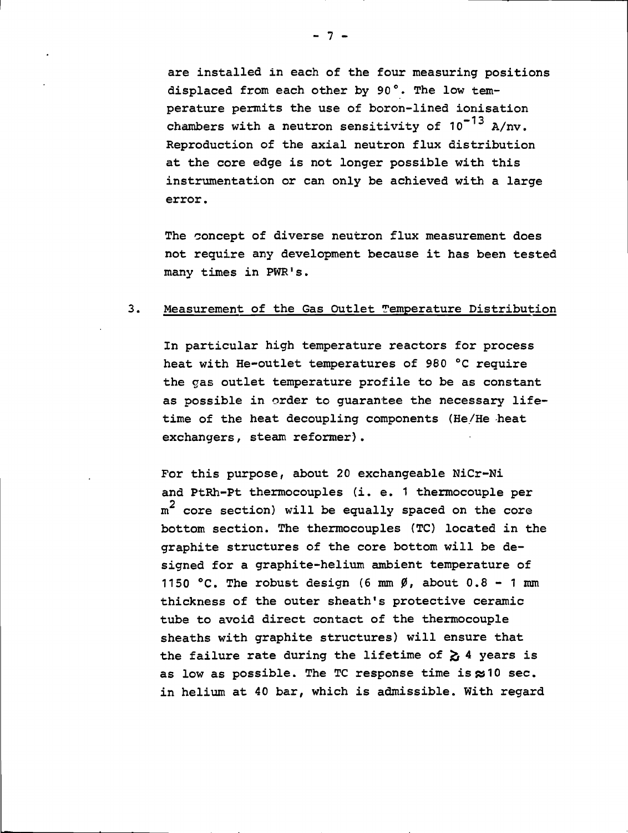are installed in each of the four measuring positions displaced from each other by 90°. The low temperature permits the use of boron-lined ionisation chambers with a neutron sensitivity of  $10^{-13}$  A/nv. Reproduction of the axial neutron flux distribution at the core edge is not longer possible with this instrumentation or can only be achieved with a large error.

The concept of diverse neutron flux measurement does not require any development because it has been tested many times in PWR's.

## 3. Measurement of the Gas Outlet Temperature Distribution

In particular high temperature reactors for process heat with He-outlet temperatures of 980 °C require the gas outlet temperature profile to be as constant as possible in order to guarantee the necessary lifetime of the heat decoupling components (He/He heat exchangers, steam reformer).

For this purpose, about 20 exchangeable NiCr-Ni and PtRh-Pt thermocouples (i. e. 1 thermocouple per --<br>2  $m^2$  core section) will be equally spaced on the core bottom section. The thermocouples (TC) located in the graphite structures of the core bottom will be designed for a graphite-helium ambient temperature of 1150 °C. The robust design (6 mm  $\beta$ , about 0.8 - 1 mm thickness of the outer sheath's protective ceramic tube to avoid direct contact of the thermocouple sheaths with graphite structures) will ensure that the failure rate during the lifetime of  $\geq$  4 years is as low as possible. The TC response time is  $\approx 10$  sec. in helium at 40 bar, which is admissible. With regard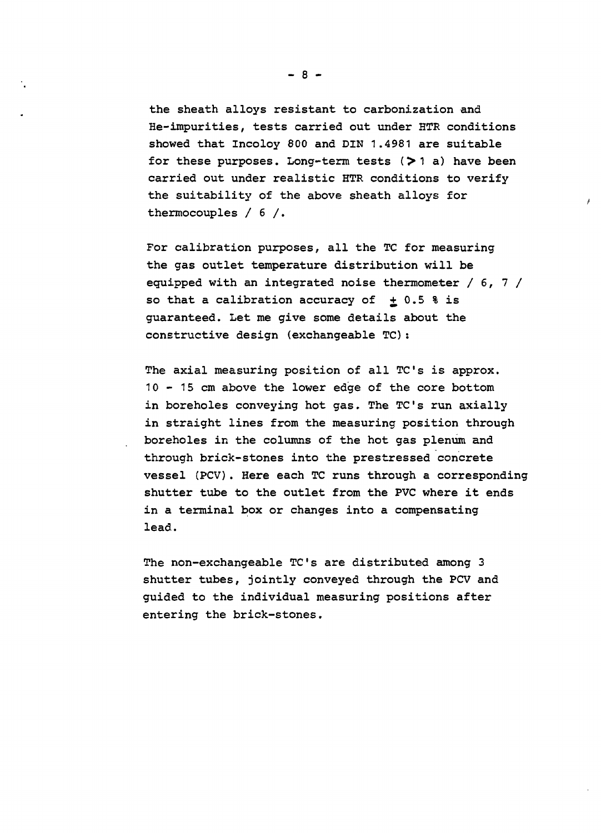the sheath alloys resistant to carboni2ation and He-impurities, tests carried out under HTR conditions showed that Incoloy 800 and DIN 1.4981 are suitable for these purposes. Long-term tests  $($ >1 a) have been carried out under realistic HTR conditions to verify the suitability of the above sheath alloys for thermocouples / 6 /.

For calibration purposes, all the TC for measuring the gas outlet temperature distribution will be equipped with an integrated noise thermometer / 6, 7 / so that a calibration accuracy of  $\pm$  0.5 % is guaranteed. Let me give some details about the constructive design (exchangeable TC):

The axial measuring position of all TC's is approx. 10 - 15 cm above the lower edge of the core bottom in boreholes conveying hot gas. The TC's run axially in straight lines from the measuring position through boreholes in the columns of the hot gas plenum and through brick-stones into the prestressed concrete vessel (PCV). Here each TC runs through a corresponding shutter tube to the outlet from the PVC where it ends in a terminal box or changes into a compensating lead.

The non-exchangeable TC's are distributed among 3 shutter tubes, jointly conveyed through the PCV and guided to the individual measuring positions after entering the brick-stones.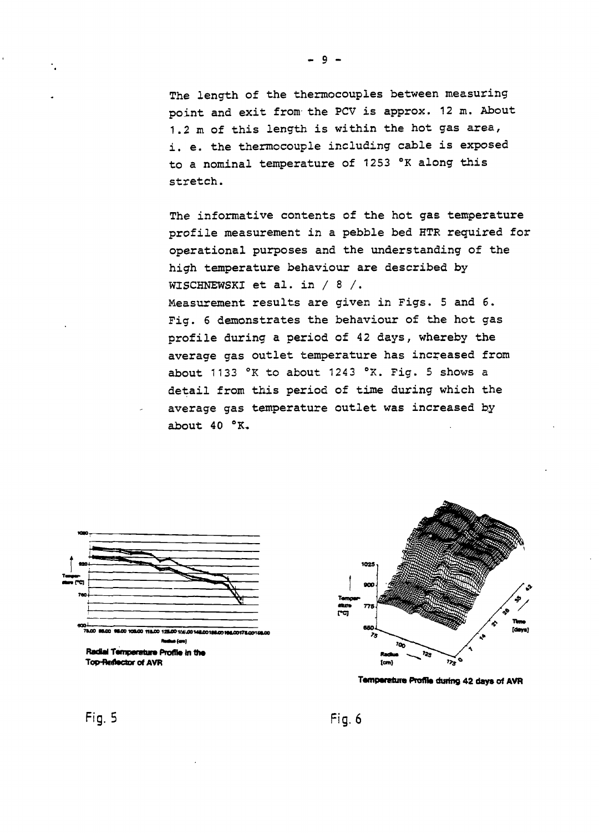The length of the thermocouples between measuring point and exit from- the PCV is approx. 12m. About 1.2 m of this length is within the hot gas area, i. e. the thermocouple including cable is exposed to a nominal temperature of 1253 °K along this stretch.

The informative contents of the hot gas temperature profile measurement in a pebble bed HTR required for operational purposes and the understanding of the high temperature behaviour are described by WISCHNEWSKI et al. in / 8 /. Measurement results are given in Figs. 5 and 6. Fig. 6 demonstrates the behaviour of the hot gas profile during a period of 42 days, whereby the average gas outlet temperature has increased from about 1133 °K to about 1243 °K. Fig. 5 shows a detail from this period of time during which the average gas temperature outlet was increased by about  $40 °K$ .





**Tamparetura Profila during 42 days of AVR**

**Fig. 5 Fig. 6**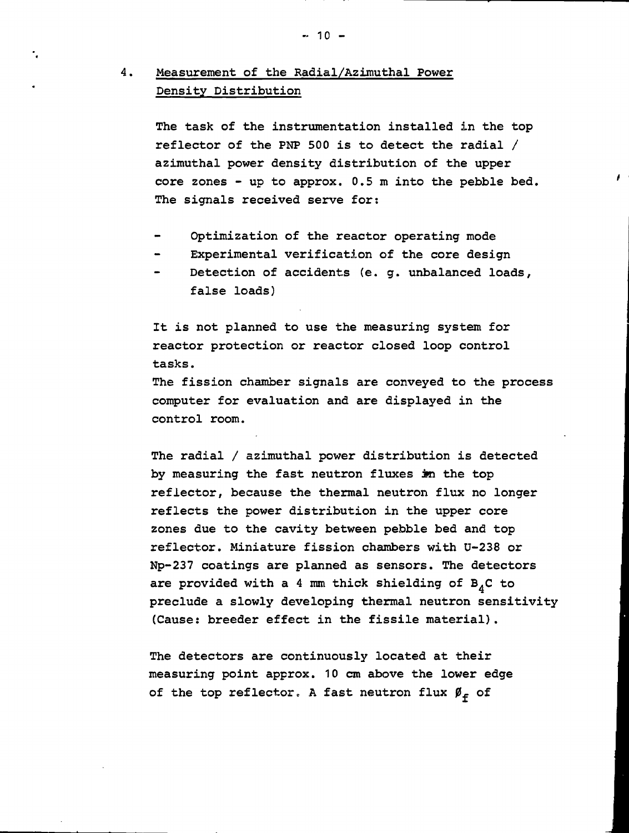# 4. Measurement of the Radial/Azimuthal Power Density Distribution

The task of the instrumentation installed in the top reflector of the PNP 500 is to detect the radial / azimuthal power density distribution of the upper core zones - up to approx. 0.5 m into the pebble bed. The signals received serve for:

- Optimization of the reactor operating mode
- Experimental verification of the core design
- Detection of accidents (e. g. unbalanced loads, false loads)

It is not planned to use the measuring system for reactor protection or reactor closed loop control tasks. The fission chamber signals are conveyed to the process computer for evaluation and are displayed in the control room.

The radial / azimuthal power distribution is detected by measuring the fast neutron fluxes in the top reflector, because the thermal neutron flux no longer reflects the power distribution in the upper core zones due to the cavity between pebble bed and top reflector. Miniature fission chambers with U-238 or Np-237 coatings are planned as sensors. The detectors are provided with a 4 mm thick shielding of  $B_{A}C$  to preclude a slowly developing thermal neutron sensitivity (Cause: breeder effect in the fissile material).

The detectors are continuously located at their measuring point approx. 10 cm above the lower edge of the top reflector. A fast neutron flux  $\beta_f$  of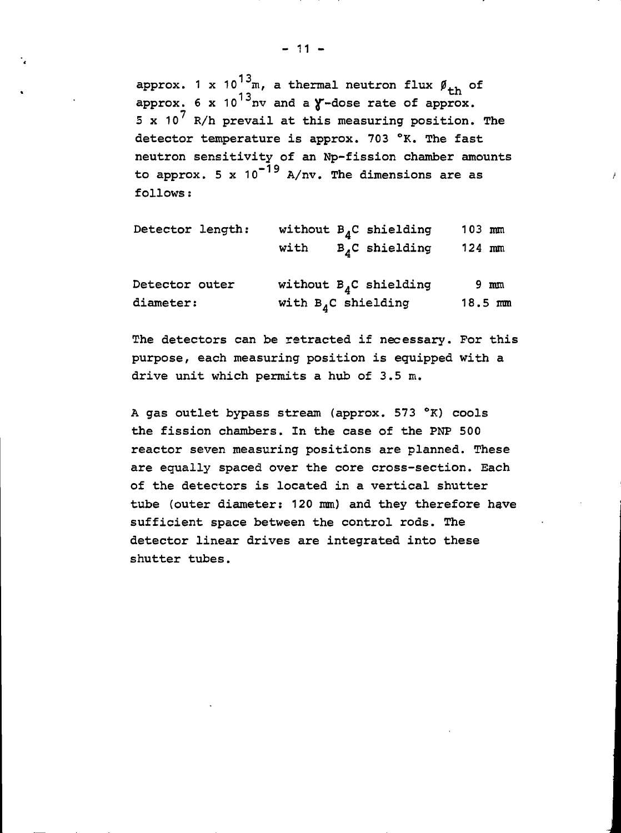approx. 1 x 10 $^{13}$ m, a thermal neutron flux  $\boldsymbol{\not\!{y}}_{\texttt{+h}}$  of approx.  $6 \times 10^{13}$ nv and a  $\gamma$ -dose rate of approx.  $\frac{1}{2}$  n/h and  $\frac{1}{2}$  of the recombended below. k/n prevail at the detector temperature is approx. 703  $\textdegree$ K. The fast<br>neutron sensitivity of an Np-fission chamber amounts detector sensitivity of an approximation changer and  $\omega$  approx,  $\sigma$  is to  $\sigma$  h,  $m$ , the dimensions are as follows: to approx. 5 x  $10^{-19}$  A/nv. The dimensions are as

| Detector length: |                        | without $B_A C$ shielding  | $103$ mm |                     |
|------------------|------------------------|----------------------------|----------|---------------------|
|                  | with                   | $B_A C$ shielding          | $124$ mm |                     |
| Detector outer   |                        | without $B_{A}C$ shielding |          | $9 \text{ mm}$      |
| diameter:        | with $B_A C$ shielding |                            |          | $18.5 \, \text{mm}$ |

The detectors can be retracted if necessary. For this purpose, each measuring position is equipped with a drive unit which permits a hub of 3.5 m.

A gas outlet bypass stream (approx. 573 °K) cools the fission chambers. In the case of the PNP 500 reactor seven measuring positions are planned. These are equally spaced over the core cross-section. Each of the detectors is located in a vertical shutter tube (outer diameter: 120 mm) and they therefore have sufficient space between the control rods. The detector linear drives are integrated into these shutter tubes.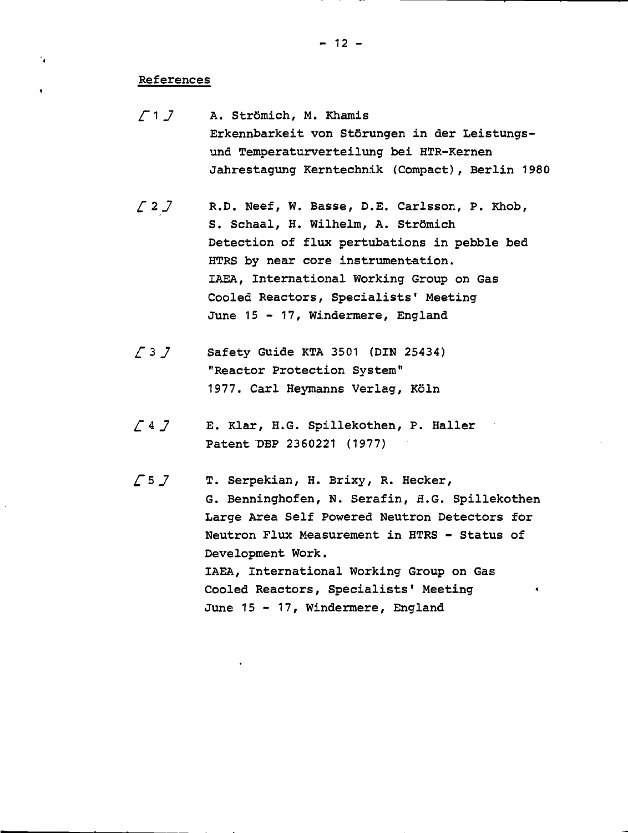- 12 -

## References

 $\mathcal{L}_{\mathbf{C}}$ 

 $\bullet$ 

- $\sqrt{1}$  J A. Strömich, M. Khamis Erkennbarkeit von Stôrungen in der Leistungsund Temperaturverteilung bei HTR-Kernen Jahrestagung Kerntechnik (Compact), Berlin 1980
- £2j R.D. Neef, W. Basse, D.E. Carlsson, P. Khob, S. Schaal, H. Wilhelm, A. Strômich Detection of flux pertubations in pebble bed HTRS by near core instrumentation. IAEA, International Working Group on Gas Cooled Reactors, Specialists' Meeting June 15 - 17, Windermere, England
- $\sqrt{3}$  Safety Guide KTA 3501 (DIN 25434) "Reactor Protection System" 1977. Carl Heymanns Verlag, Kôln
- £ 4 J E. Klar, H.G. Spillekothen, P. Haller Patent DBP 2360221 (1977)
- $\sqrt{5}$  J T. Serpekian, H. Brixy, R. Hecker, G. Benninghofen, N. Serafin, H.G. Spillekothen Large Area Self Powered Neutron Detectors for Neutron Flux Measurement in HTRS - Status of Development Work. IAEA, International Working Group on Gas Cooled Reactors, Specialists' Meeting June 15 - 17, Windermere, England